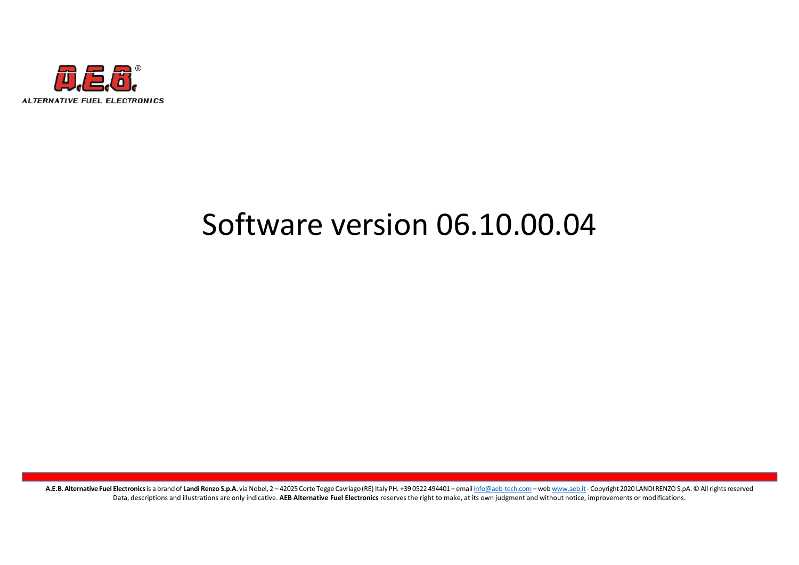

# Software version 06.10.00.04

.<br>A.F.R. Milenarion Faul Flatteristics a back of the Max Sp.A.via Naba) - 0.005 Operating populations (1993) - and information computer and workerships 2001 AND REPORTS A. 21 Af epite served<br>Deta, discription and illustrat Data, descriptions and illustrations are only indicative. AEB Alternative Fuel Electronics reserves the right to make, at its own judgment and without notice, improvements or modifications.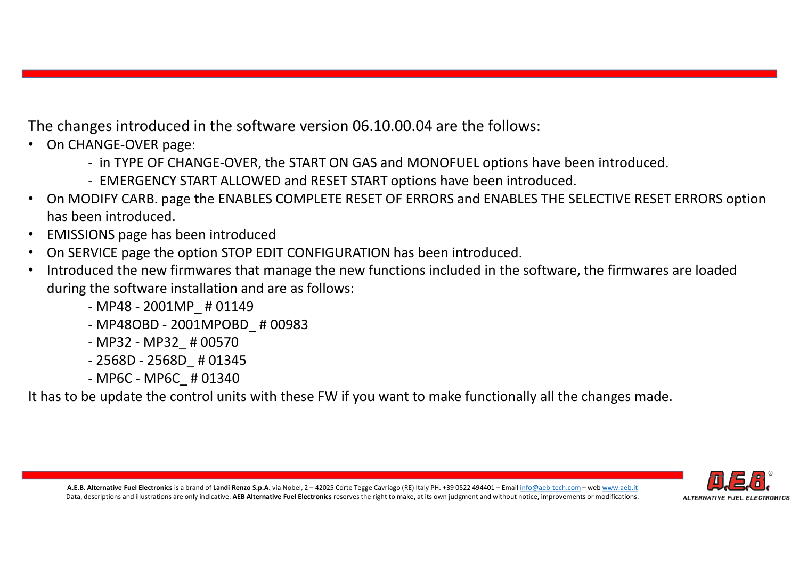The changes introduced in the software version 06.10.00.04 are the follows:

- On CHANGE-OVER page:
	-
	-
- ges introduced in the software version 06.10.00.04 are the follows:<br>ANGE-OVER page:<br>- in TYPE OF CHANGE-OVER, the START ON GAS and MONOFUEL options have been introduced.<br>- EMERGENCY START ALLOWED and RESET START options ha The changes introduced in the software version 06.10.00.04 are the follows:<br>
• On CHANGE-OVER page :<br>
• In TYPE OF CHANGE-OVER, the START ON GAS and MONOFUEL options have been introduced.<br>
• On MODIFY CARB. page the ENABLE has been introduced. Frie changes introduced in the software version 06.10.00.04 are the follows:<br>
• On CHANGE-OVER page:<br>
• In TYPE OF CHANGE-OVER, the START ON GAS and MONOFUEL options have been introduced.<br>
• On MODIFY CARB. page the ENABLE ges introduced in the software version 06.10.00.04 are<br>ANGE-OVER page:<br>- in TYPE OF CHANGE-OVER, the START ON GAS and MONOF<br>- EMERGENCY START ALLOWED and RESET START options ha<br>DIFY CARB. page the ENABLES COMPLETE RESET OF ges introduced in the software version 06.10.00.04 are the<br>ANGE-OVER page:<br>- in TYPE OF CHANGE-OVER, the START ON GAS and MONOFUEL<br>- EMERGENCY START ALLOWED and RESET START options have b<br>DIFY CARB. page the ENABLES COMPLE ges introduced in the software version 06.10.00.04 are<br>ANGE-OVER page:<br>- in TYPE OF CHANGE-OVER, the START ON GAS and MONOF<br>- EMERGENCY START ALLOWED and RESET START options ha<br>DDIFY CARB. page the ENABLES COMPLETE RESET O ges introduced in the software version 06.10.00.04 are<br>ANGE-OVER page:<br>- in TYPE OF CHANGE-OVER, the START ON GAS and MONOFI-<br>- EMERGENCY START ALLOWED and RESET START options has<br>DDIFY CARB. page the ENABLES COMPLETE RESE ANGE-OVER page:<br>- in TYPE OF CHANGE-OVER, the START ON GAS and MONOF<br>- EMERGENCY START ALLOWED and RESET START options ha<br>DIFY CARB. page the ENABLES COMPLETE RESET OF ERRORS<br>en introduced.<br>ONS page has been introduced<br>VIC
- EMISSIONS page has been introduced
- On SERVICE page the option STOP EDIT CONFIGURATION has been introduced.
- SERVICE page the option STOP EDIT CONFIGURATION has been introduced.<br>
SERVICE page the new firmwares hat manage the new functions included in the software, the firmwares are loaded<br>
ing the software installation and are as during the software installation and are as follows:
	-
	-
	-
	-
	-

It has to be update the control units with these FW if you want to make functionally all the changes made.

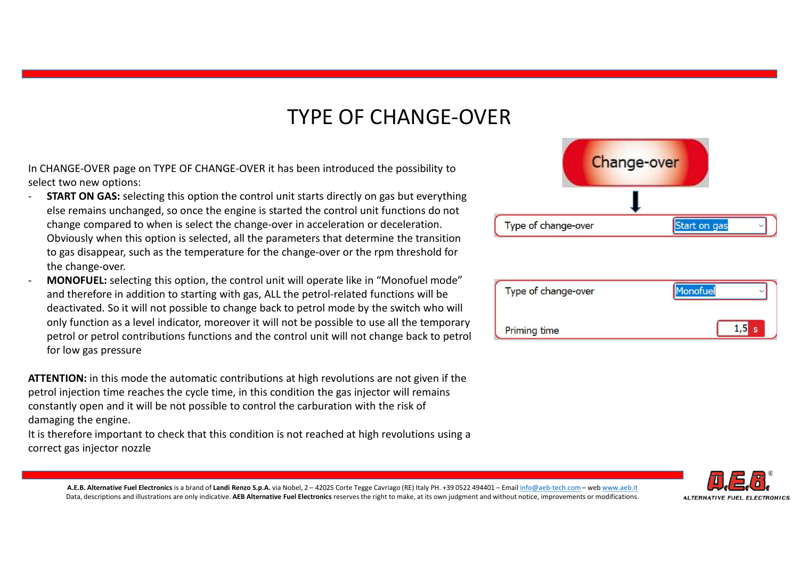# TYPE OF CHANGE-OVER

- **SELECT THE SELECT THE OF CHANGE-OVER**<br>Select two new options:<br>- START ON GAS: selecting this option the control unit starts directly on gas but everything<br>- START ON GAS: selecting this option the control unit starts dire else remains unchanged, so once the engine is started the control unit functions do not change compared to when is select the change-over in acceleration or deceleration. Obviously when this option is selected, all the parameters that determine the transition to gas disappear, such as the temperature for the change-over or the rpm threshold for the change-over. TYPE OF CHANGE-OVER<br>
In CHANGE-OVER page on TYPE OF CHANGE-OVER it has been introduced the possibility to<br>
select two new options:<br> **START ON GAS:** selecting this option the control unit starts directly on gas but everyth
- A.E. Seappers, such as the temperature for the change-over or the rpm threshold for<br>
YOPTEL: selectronic this copium that control unit VIII noted the monoformation of the monoformation of the stress of the fuel monoformati and therefore in addition to starting with gas, ALL the petrol-related functions will be deactivated. So it will not possible to change back to petrol mode by the switch who will only function as a level indicator, moreover it will not be possible to use all the temporary petrol or petrol contributions functions and the control unit will not change back to petrol for low gas pressure

ATTENTION: in this mode the automatic contributions at high revolutions are not given if the petrol injection time reaches the cycle time, in this condition the gas injector will remains constantly open and it will be not possible to control the carburation with the risk of damaging the engine.

It is therefore important to check that this condition is not reached at high revolutions using a correct gas injector nozzle



| Type of change-over | lonofuel |
|---------------------|----------|
| <b>Priming time</b> | s        |

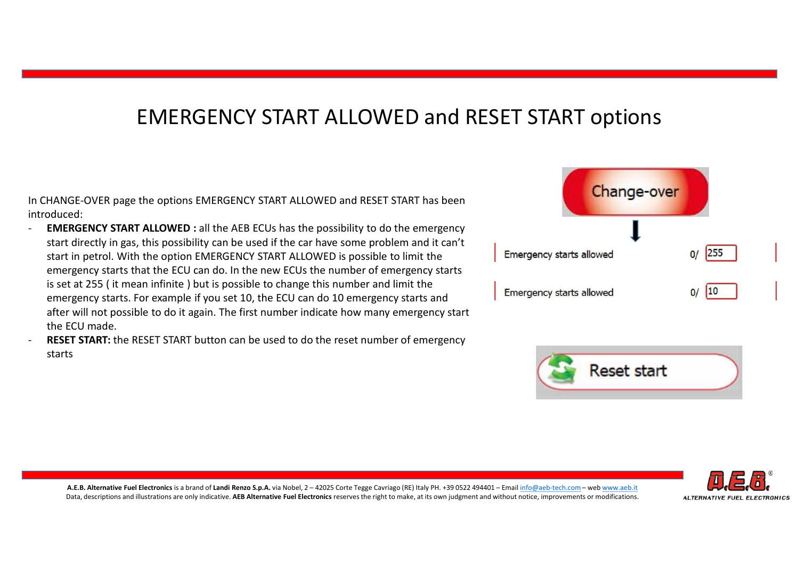# EMERGENCY START ALLOWED and RESET START options

introduced:

- A.E. Alternative Fuel Electronics Electronics INCREGITY START ALLOWIDE is possible to change this number of emergency starts.<br>
The magnity stats allowed the Electronics is a brand of Landi Renzo S.p. Alternative Fuel Cort EMERGENCY START ALLOWED : all the AEB ECUs has the possibility to do the emergency start directly in gas, this possibility can be used if the car have some problem and it can't start in petrol. With the option EMERGENCY START ALLOWED is possible to limit the **Finance 2** Emergency starts allowed emergency starts that the ECU can do. In the new ECUs the number of emergency starts is set at 255 (it mean infinite ) but is possible to change this number and limit the Emergency starts allowed emergency starts. For example if you set 10, the ECU can do 10 emergency starts and after will not possible to do it again. The first number indicate how many emergency start the ECU made.
- **RESET START:** the RESET START button can be used to do the reset number of emergency starts





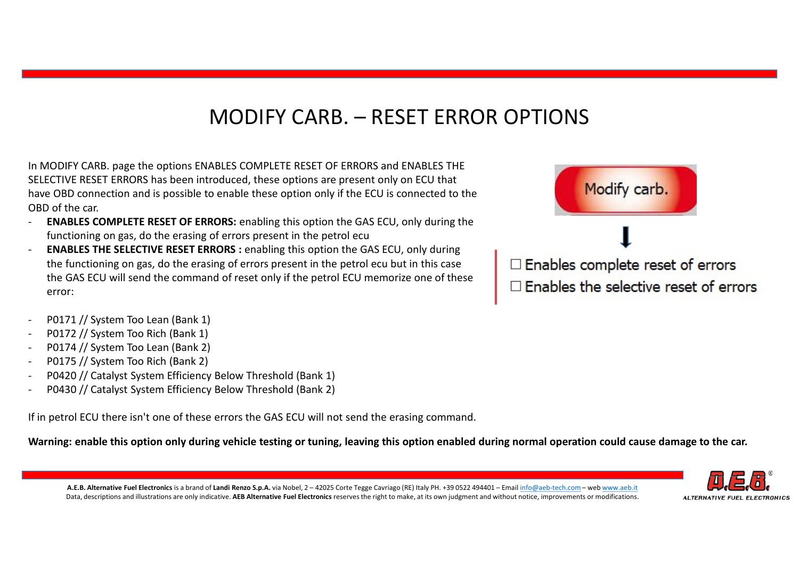MODIFY CARB. — RESET ERROR OPTIONS<br>ABLES COMPLETE RESET OF ERRORS and ENABLES THE<br>roduced, these options are present only on ECU that<br>possed, these options are present only on ECU that MODIFY CARB.<br>
In MODIFY CARB. page the options ENABLES COMPLETE RESET OF ERRORS and ENABLES THE<br>
SELECTIVE RESET ERRORS has been introduced, these options are present only on ECU that<br>
have OBD connection and is possible t  $\begin{array}{l|l} \textsf{MODIFY CARS}, \textsf{PARS} \textsf{AD} \textsf{AD} \textsf{AD} \textsf{AD} \textsf{AD} \textsf{AD} \textsf{AD} \textsf{AD} \textsf{AD} \textsf{AD} \textsf{AD} \textsf{AD} \textsf{AD} \textsf{AD} \textsf{AD} \textsf{AD} \textsf{AD} \textsf{AD} \textsf{AD} \textsf{AD} \textsf{AD} \textsf{AD} \textsf{AD} \textsf{AD} \textsf{AD} \textsf{AD} \textsf{AD} \textsf{AD} \textsf{AD} \textsf{AD} \textsf{AD} \textsf{AD} \textsf$ OBD of the car.

- **ENABLES COMPLETE RESET OF ERRORS:** enabling this option the GAS ECU, only during the functioning on gas, do the erasing of errors present in the petrol ecu
- ALE ARIENT HALF ARE ART ENGUAS : channing may proportine cash is the search, only during the particular of the search of errors and the command of reset only if the petrol ECU memorize one of these<br>
CAS ECU will send the c ENABLES THE SELECTIVE RESET ERRORS : enabling this option the GAS ECU, only during the GAS ECU will send the command of reset only if the petrol ECU memorize one of these **Fig. 1** Enables the selective reset of errors error: **MODIFY CARB.**<br>
In MODIFY CARB. page the options ENABLES COMPLETE RESET OF ERR<br>
SELECTIVE RESET ERRORS has been introduced, these options are present<br>
horeon CBD connection and is possible to enable these option only if th MODIFY CARB.<br>
In MODIFY CARB. page the options ENABLES COMPLETE RESET OF ERR<br>
SELECTIVE RESET ERRORS has been introduced, these options are pres<br>
have OBD connection and is possible to enable these option only if the<br>
OBD **MODIFY CARB.**<br>
In MODIFY CARB. page the options ENABLES COMPLETE RESET OF ERR<br>
SELECTIVE RESET ERRORS has been introduced, these options are present<br>
have OBD connection and is possible to enable these option only if the 11 MODIFY CARB. page the options ENABLES COMPLETE RESET OF ERN<br>SELECTIVE RESET ERRORS has been introduced, these options are presons<br>obb of the car.<br>OBD connection and is possible to enable these option only if the<br>OBD of In MODIFY CARB. page the options ENABLES COMPLETE RESET OF ERRORS and ENABLES<br>SELECTIVE RESET ERRORS has been introduced, these options are present only on EQ<br>now OBD connection and is possible to enable these option only In MODIFY CARB. page the options ENABLES COMPLETE RESET OF ERRORS and ENABLES SELECTIVE RESET ERRORS has been introduced, these options are present only on EC<br>
have OBD connection and is possible to enable these options ar
- 
- 
- 
- 
- 
- 

If in petrol ECU there isn't one of these errors the GAS ECU will not send the erasing command.

Warning: enable this option only during vehicle testing or tuning, leaving this option enabled during normal operation could cause damage to the car.





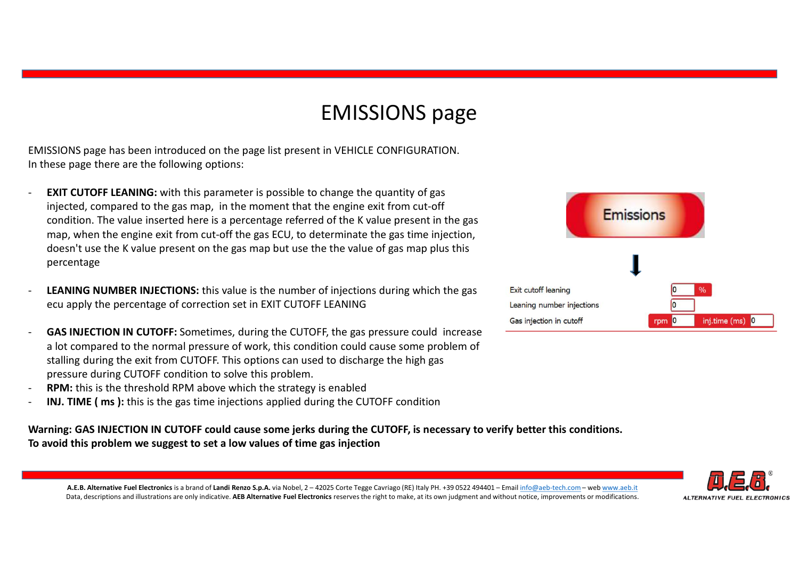# EMISSIONS page

EMISSIONS page has been introduced on the page list present in VEHICLE CONFIGURATION.

- EMISSIONS page has been introduced on the page list present in VEHICLE CONFIGURATION.<br>In these page there are the following options:<br>- **EXIT CUTOFF LEANING**: with this parameter is possible to change the quantity of gas<br>in injected, compared to the gas map, in the moment that the engine exit from cut-off condition. The value inserted here is a percentage referred of the K value present in the gas map, when the engine exit from cut-off the gas ECU, to determinate the gas time injection, **EMISSIONS page**<br>sticking a mass been introduced on the page list present in VEHICLE CONFIGURATION.<br>INTECTIONE TREATING: with this parameter is possible to change the quantity of gas<br>injected, compared to the gas map, in t percentage EMISSIONS page has been introduced on the page list present in VEHICLE CONFIGURATION.<br>
SESIONS page has been introduced on the page list present in VEHICLE CONFIGURATION.<br>
EXIT CUTOFF LEANING: with this parameter is possib In triese page there are the lollowing options.<br> **EXIT CUTOFF EEAINNG**: with this parameter is possible to change the quantity of gas<br>
condition. The value inserted to ree is a percentage referred of the K value present in
- LEANING NUMBER INJECTIONS: this value is the number of injections during which the gas Exit cutoff leaning
- **GAS INJECTION IN CUTOFF:** Sometimes, during the CUTOFF, the gas pressure could increase a lot compared to the normal pressure of work, this condition could cause some problem of stalling during the exit from CUTOFF. This options can used to discharge the high gas pressure during CUTOFF condition to solve this problem.
- **RPM:** this is the threshold RPM above which the strategy is enabled
- 

Warning: GAS INJECTION IN CUTOFF could cause some jerks during the CUTOFF, is necessary to verify better this conditions. To avoid this problem we suggest to set a low values of time gas injection